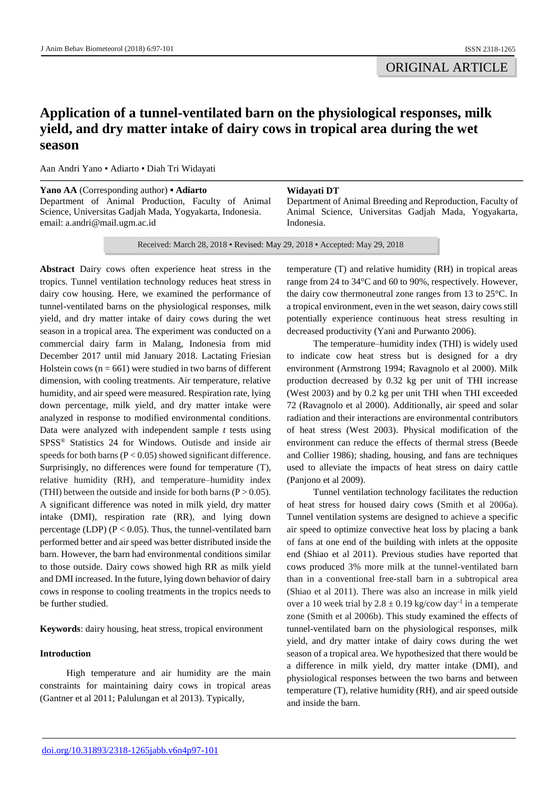# **Application of a tunnel-ventilated barn on the physiological responses, milk yield, and dry matter intake of dairy cows in tropical area during the wet season**

Aan Andri Yano ▪ Adiarto ▪ Diah Tri Widayati

| Yano AA (Corresponding author) • Adiarto                 | Widavati DT                                                |
|----------------------------------------------------------|------------------------------------------------------------|
| Department of Animal Production, Faculty of Animal       | Department of Animal Breeding and Reproduction, Faculty of |
| Science, Universitas Gadjah Mada, Yogyakarta, Indonesia. | Animal Science, Universitas Gadiah Mada, Yogyakarta,       |
| email: $a$ . andri $@$ mail. ugm. ac. id                 | Indonesia.                                                 |

Received: March 28, 2018 ▪ Revised: May 29, 2018 ▪ Accepted: May 29, 2018

**Abstract** Dairy cows often experience heat stress in the tropics. Tunnel ventilation technology reduces heat stress in dairy cow housing. Here, we examined the performance of tunnel-ventilated barns on the physiological responses, milk yield, and dry matter intake of dairy cows during the wet season in a tropical area. The experiment was conducted on a commercial dairy farm in Malang, Indonesia from mid December 2017 until mid January 2018. Lactating Friesian Holstein cows ( $n = 661$ ) were studied in two barns of different dimension, with cooling treatments. Air temperature, relative humidity, and air speed were measured. Respiration rate, lying down percentage, milk yield, and dry matter intake were analyzed in response to modified environmental conditions. Data were analyzed with independent sample *t* tests using SPSS® Statistics 24 for Windows. Outisde and inside air speeds for both barns (P < 0.05) showed significant difference. Surprisingly, no differences were found for temperature (T), relative humidity (RH), and temperature–humidity index (THI) between the outside and inside for both barns ( $P > 0.05$ ). A significant difference was noted in milk yield, dry matter intake (DMI), respiration rate (RR), and lying down percentage (LDP) ( $P < 0.05$ ). Thus, the tunnel-ventilated barn performed better and air speed was better distributed inside the barn. However, the barn had environmental conditions similar to those outside. Dairy cows showed high RR as milk yield and DMI increased. In the future, lying down behavior of dairy cows in response to cooling treatments in the tropics needs to be further studied.

**Keywords**: dairy housing, heat stress, tropical environment

# **Introduction**

High temperature and air humidity are the main constraints for maintaining dairy cows in tropical areas (Gantner et al 2011; Palulungan et al 2013). Typically,

temperature (T) and relative humidity (RH) in tropical areas range from 24 to 34°C and 60 to 90%, respectively. However, the dairy cow thermoneutral zone ranges from 13 to 25°C. In a tropical environment, even in the wet season, dairy cows still potentially experience continuous heat stress resulting in decreased productivity (Yani and Purwanto 2006).

The temperature–humidity index (THI) is widely used to indicate cow heat stress but is designed for a dry environment (Armstrong 1994; Ravagnolo et al 2000). Milk production decreased by 0.32 kg per unit of THI increase (West 2003) and by 0.2 kg per unit THI when THI exceeded 72 (Ravagnolo et al 2000). Additionally, air speed and solar radiation and their interactions are environmental contributors of heat stress (West 2003). Physical modification of the environment can reduce the effects of thermal stress (Beede and Collier 1986); shading, housing, and fans are techniques used to alleviate the impacts of heat stress on dairy cattle (Panjono et al 2009).

Tunnel ventilation technology facilitates the reduction of heat stress for housed dairy cows (Smith et al 2006a). Tunnel ventilation systems are designed to achieve a specific air speed to optimize convective heat loss by placing a bank of fans at one end of the building with inlets at the opposite end (Shiao et al 2011). Previous studies have reported that cows produced 3% more milk at the tunnel-ventilated barn than in a conventional free-stall barn in a subtropical area (Shiao et al 2011). There was also an increase in milk yield over a 10 week trial by  $2.8 \pm 0.19$  kg/cow day<sup>-1</sup> in a temperate zone (Smith et al 2006b). This study examined the effects of tunnel-ventilated barn on the physiological responses, milk yield, and dry matter intake of dairy cows during the wet season of a tropical area. We hypothesized that there would be a difference in milk yield, dry matter intake (DMI), and physiological responses between the two barns and between temperature (T), relative humidity (RH), and air speed outside and inside the barn.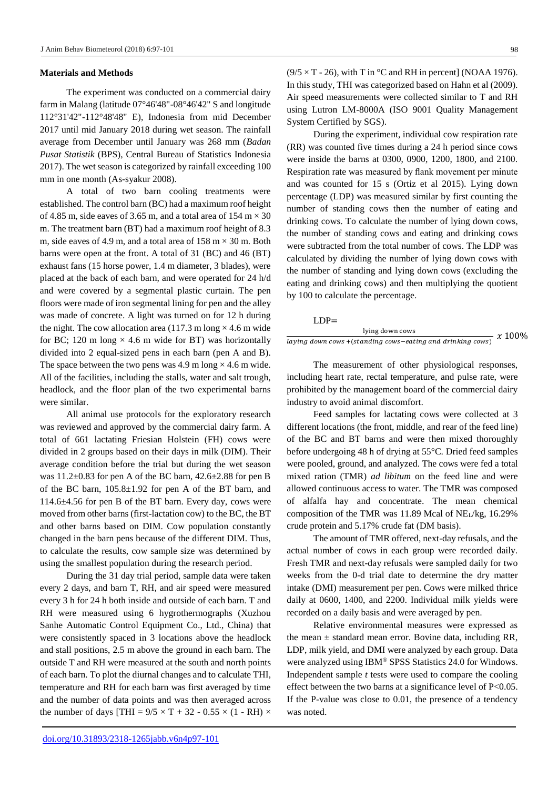#### **Materials and Methods**

The experiment was conducted on a commercial dairy farm in Malang (latitude 07°46'48"-08°46'42" S and longitude 112°31'42"-112°48'48" E), Indonesia from mid December 2017 until mid January 2018 during wet season. The rainfall average from December until January was 268 mm (*Badan Pusat Statistik* (BPS), Central Bureau of Statistics Indonesia 2017). The wet season is categorized by rainfall exceeding 100 mm in one month (As-syakur 2008).

A total of two barn cooling treatments were established. The control barn (BC) had a maximum roof height of 4.85 m, side eaves of 3.65 m, and a total area of 154 m  $\times$  30 m. The treatment barn (BT) had a maximum roof height of 8.3 m, side eaves of 4.9 m, and a total area of  $158 \text{ m} \times 30 \text{ m}$ . Both barns were open at the front. A total of 31 (BC) and 46 (BT) exhaust fans (15 horse power, 1.4 m diameter, 3 blades), were placed at the back of each barn, and were operated for 24 h/d and were covered by a segmental plastic curtain. The pen floors were made of iron segmental lining for pen and the alley was made of concrete. A light was turned on for 12 h during the night. The cow allocation area (117.3 m long  $\times$  4.6 m wide for BC; 120 m long  $\times$  4.6 m wide for BT) was horizontally divided into 2 equal-sized pens in each barn (pen A and B). The space between the two pens was 4.9 m long  $\times$  4.6 m wide. All of the facilities, including the stalls, water and salt trough, headlock, and the floor plan of the two experimental barns were similar.

All animal use protocols for the exploratory research was reviewed and approved by the commercial dairy farm. A total of 661 lactating Friesian Holstein (FH) cows were divided in 2 groups based on their days in milk (DIM). Their average condition before the trial but during the wet season was 11.2±0.83 for pen A of the BC barn, 42.6±2.88 for pen B of the BC barn, 105.8±1.92 for pen A of the BT barn, and 114.6±4.56 for pen B of the BT barn. Every day, cows were moved from other barns (first-lactation cow) to the BC, the BT and other barns based on DIM. Cow population constantly changed in the barn pens because of the different DIM. Thus, to calculate the results, cow sample size was determined by using the smallest population during the research period.

During the 31 day trial period, sample data were taken every 2 days, and barn T, RH, and air speed were measured every 3 h for 24 h both inside and outside of each barn. T and RH were measured using 6 hygrothermographs (Xuzhou Sanhe Automatic Control Equipment Co., Ltd., China) that were consistently spaced in 3 locations above the headlock and stall positions, 2.5 m above the ground in each barn. The outside T and RH were measured at the south and north points of each barn. To plot the diurnal changes and to calculate THI, temperature and RH for each barn was first averaged by time and the number of data points and was then averaged across the number of days [THI =  $9/5 \times T + 32 - 0.55 \times (1 - RH) \times$ 

 $(9/5 \times T - 26)$ , with T in °C and RH in percent] (NOAA 1976). In this study, THI was categorized based on Hahn et al (2009). Air speed measurements were collected similar to T and RH using Lutron LM-8000A (ISO 9001 Quality Management System Certified by SGS).

During the experiment, individual cow respiration rate (RR) was counted five times during a 24 h period since cows were inside the barns at 0300, 0900, 1200, 1800, and 2100. Respiration rate was measured by flank movement per minute and was counted for 15 s (Ortiz et al 2015). Lying down percentage (LDP) was measured similar by first counting the number of standing cows then the number of eating and drinking cows. To calculate the number of lying down cows, the number of standing cows and eating and drinking cows were subtracted from the total number of cows. The LDP was calculated by dividing the number of lying down cows with the number of standing and lying down cows (excluding the eating and drinking cows) and then multiplying the quotient by 100 to calculate the percentage.

#### LDP=

| lying down cows                                            | $x\,100\%$ |
|------------------------------------------------------------|------------|
| laying down cows +(standing cows-eating and drinking cows) |            |

The measurement of other physiological responses, including heart rate, rectal temperature, and pulse rate, were prohibited by the management board of the commercial dairy industry to avoid animal discomfort.

Feed samples for lactating cows were collected at 3 different locations (the front, middle, and rear of the feed line) of the BC and BT barns and were then mixed thoroughly before undergoing 48 h of drying at 55°C. Dried feed samples were pooled, ground, and analyzed. The cows were fed a total mixed ration (TMR) *ad libitum* on the feed line and were allowed continuous access to water. The TMR was composed of alfalfa hay and concentrate. The mean chemical composition of the TMR was 11.89 Mcal of  $NE<sub>L</sub>/kg$ , 16.29% crude protein and 5.17% crude fat (DM basis).

The amount of TMR offered, next-day refusals, and the actual number of cows in each group were recorded daily. Fresh TMR and next-day refusals were sampled daily for two weeks from the 0-d trial date to determine the dry matter intake (DMI) measurement per pen. Cows were milked thrice daily at 0600, 1400, and 2200. Individual milk yields were recorded on a daily basis and were averaged by pen.

Relative environmental measures were expressed as the mean  $\pm$  standard mean error. Bovine data, including RR, LDP, milk yield, and DMI were analyzed by each group. Data were analyzed using IBM® SPSS Statistics 24.0 for Windows. Independent sample *t* tests were used to compare the cooling effect between the two barns at a significance level of P<0.05. If the P-value was close to 0.01, the presence of a tendency was noted.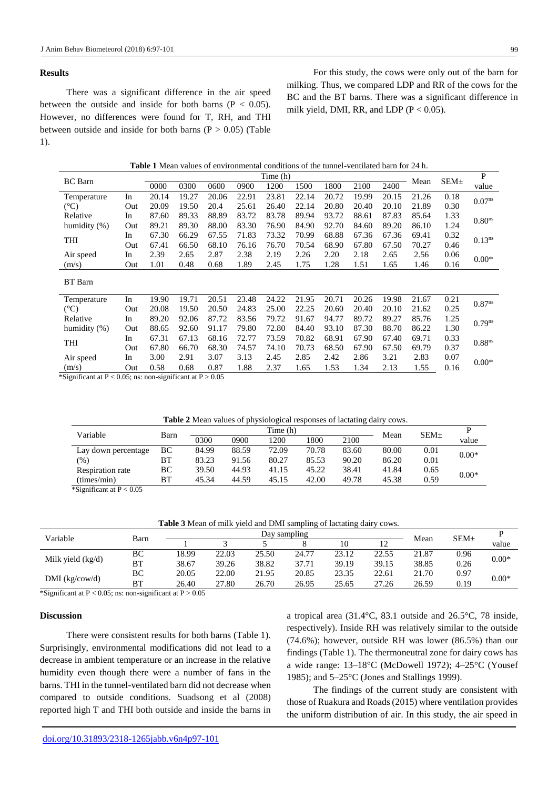## **Results**

There was a significant difference in the air speed between the outside and inside for both barns ( $P < 0.05$ ). However, no differences were found for T, RH, and THI between outside and inside for both barns  $(P > 0.05)$  (Table 1).

For this study, the cows were only out of the barn for milking. Thus, we compared LDP and RR of the cows for the BC and the BT barns. There was a significant difference in milk yield, DMI, RR, and LDP ( $P < 0.05$ ).

| <b>Table 1</b> Mean values of environmental conditions of the tunnel-ventilated barn for 24 h. |  |  |  |
|------------------------------------------------------------------------------------------------|--|--|--|
|------------------------------------------------------------------------------------------------|--|--|--|

| <b>BC</b> Barn   |     |       |       |       |       | Time (h) |       |       |       |       | Mean  | SEM <sub>±</sub> | P                    |
|------------------|-----|-------|-------|-------|-------|----------|-------|-------|-------|-------|-------|------------------|----------------------|
|                  |     | 0000  | 0300  | 0600  | 0900  | 1200     | 1500  | 1800  | 2100  | 2400  |       |                  | value                |
| Temperature      | In  | 20.14 | 19.27 | 20.06 | 22.91 | 23.81    | 22.14 | 20.72 | 19.99 | 20.15 | 21.26 | 0.18             | 0.07 <sup>ns</sup>   |
| $(^{\circ}C)$    | Out | 20.09 | 19.50 | 20.4  | 25.61 | 26.40    | 22.14 | 20.80 | 20.40 | 20.10 | 21.89 | 0.30             |                      |
| Relative         | In  | 87.60 | 89.33 | 88.89 | 83.72 | 83.78    | 89.94 | 93.72 | 88.61 | 87.83 | 85.64 | 1.33             | $0.80$ <sup>ns</sup> |
| humidity $(\% )$ | Out | 89.21 | 89.30 | 88.00 | 83.30 | 76.90    | 84.90 | 92.70 | 84.60 | 89.20 | 86.10 | 1.24             |                      |
| <b>THI</b>       | In  | 67.30 | 66.29 | 67.55 | 71.83 | 73.32    | 70.99 | 68.88 | 67.36 | 67.36 | 69.41 | 0.32             | $0.13^{ns}$          |
|                  | Out | 67.41 | 66.50 | 68.10 | 76.16 | 76.70    | 70.54 | 68.90 | 67.80 | 67.50 | 70.27 | 0.46             |                      |
| Air speed        | In  | 2.39  | 2.65  | 2.87  | 2.38  | 2.19     | 2.26  | 2.20  | 2.18  | 2.65  | 2.56  | 0.06             | $0.00*$              |
| (m/s)            | Out | 1.01  | 0.48  | 0.68  | 1.89  | 2.45     | 1.75  | 1.28  | 1.51  | 1.65  | 1.46  | 0.16             |                      |
| BT Barn          |     |       |       |       |       |          |       |       |       |       |       |                  |                      |
| Temperature      | In  | 19.90 | 19.71 | 20.51 | 23.48 | 24.22    | 21.95 | 20.71 | 20.26 | 19.98 | 21.67 | 0.21             |                      |
| $(^{\circ}C)$    | Out | 20.08 | 19.50 | 20.50 | 24.83 | 25.00    | 22.25 | 20.60 | 20.40 | 20.10 | 21.62 | 0.25             | 0.87 <sup>ns</sup>   |
| Relative         | In  | 89.20 | 92.06 | 87.72 | 83.56 | 79.72    | 91.67 | 94.77 | 89.72 | 89.27 | 85.76 | 1.25             | $0.79^{ns}$          |
| humidity $(\% )$ | Out | 88.65 | 92.60 | 91.17 | 79.80 | 72.80    | 84.40 | 93.10 | 87.30 | 88.70 | 86.22 | 1.30             |                      |
|                  | In  | 67.31 | 67.13 | 68.16 | 72.77 | 73.59    | 70.82 | 68.91 | 67.90 | 67.40 | 69.71 | 0.33             | $0.88$ ns            |
| THI              | Out | 67.80 | 66.70 | 68.30 | 74.57 | 74.10    | 70.73 | 68.50 | 67.90 | 67.50 | 69.79 | 0.37             |                      |
| Air speed        | In  | 3.00  | 2.91  | 3.07  | 3.13  | 2.45     | 2.85  | 2.42  | 2.86  | 3.21  | 2.83  | 0.07             |                      |
| (m/s)            | Out | 0.58  | 0.68  | 0.87  | 1.88  | 2.37     | 1.65  | 1.53  | 1.34  | 2.13  | 1.55  | 0.16             | $0.00*$              |

\*Significant at  $P < 0.05$ ; ns: non-significant at  $P > 0.05$ 

| Variable            |      |       |       | Time(h) | Mean  | SEM <sub>±</sub> |       |      |         |
|---------------------|------|-------|-------|---------|-------|------------------|-------|------|---------|
|                     | Barn | 0300  | 0900  | 1200    | 1800  | 2100             |       |      | value   |
| Lay down percentage | BС   | 84.99 | 88.59 | 72.09   | 70.78 | 83.60            | 80.00 | 0.01 | $0.00*$ |
| $(\%)$              | BT   | 83.23 | 91.56 | 80.27   | 85.53 | 90.20            | 86.20 | 0.01 |         |
| Respiration rate    | BС   | 39.50 | 44.93 | 41.15   | 45.22 | 38.41            | 41.84 | 0.65 | $0.00*$ |
| (imes/min)          | BТ   | 45.34 | 44.59 | 45.15   | 42.00 | 49.78            | 45.38 | 0.59 |         |

\*Significant at  $P < 0.05$ 

**Table 3** Mean of milk yield and DMI sampling of lactating dairy cows.

| Variable            |           | Day sampling |       |       |       |       |       |       |                  |         |
|---------------------|-----------|--------------|-------|-------|-------|-------|-------|-------|------------------|---------|
|                     | Barn      |              |       |       |       |       |       | Mean  | SEM <sub>±</sub> | value   |
| Milk yield $(kg/d)$ | ВC        | 18.99        | 22.03 | 25.50 | 24.77 | 23.12 | 22.55 | 21.87 | 0.96             | $0.00*$ |
|                     | <b>BT</b> | 38.67        | 39.26 | 38.82 | 37.71 | 39.19 | 39.15 | 38.85 | 0.26             |         |
| DMI (kg/cow/d)      | ВC        | 20.05        | 22.00 | 21.95 | 20.85 | 23.35 | 22.61 | 21.70 | 0.97             | $0.00*$ |
|                     | ВT        | 26.40        | 27.80 | 26.70 | 26.95 | 25.65 | 27.26 | 26.59 | 0.19             |         |

\*Significant at  $P < 0.05$ ; ns: non-significant at  $P > 0.05$ 

## **Discussion**

There were consistent results for both barns (Table 1). Surprisingly, environmental modifications did not lead to a decrease in ambient temperature or an increase in the relative humidity even though there were a number of fans in the barns. THI in the tunnel-ventilated barn did not decrease when compared to outside conditions. Suadsong et al (2008) reported high T and THI both outside and inside the barns in

a tropical area (31.4°C, 83.1 outside and 26.5°C, 78 inside, respectively). Inside RH was relatively similar to the outside (74.6%); however, outside RH was lower (86.5%) than our findings (Table 1). The thermoneutral zone for dairy cows has a wide range: 13–18°C (McDowell 1972); 4–25°C (Yousef 1985); and 5–25°C (Jones and Stallings 1999).

The findings of the current study are consistent with those of Ruakura and Roads (2015) where ventilation provides the uniform distribution of air. In this study, the air speed in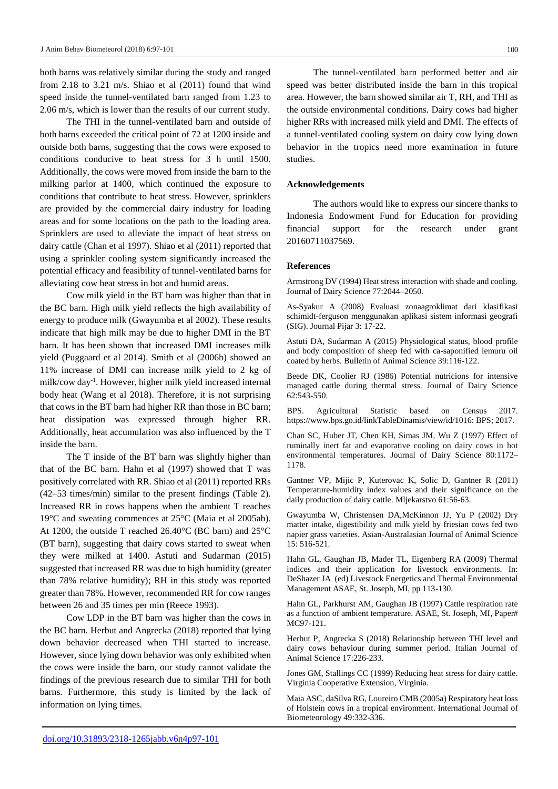both barns was relatively similar during the study and ranged from 2.18 to 3.21 m/s. Shiao et al (2011) found that wind speed inside the tunnel-ventilated barn ranged from 1.23 to 2.06 m/s, which is lower than the results of our current study.

The THI in the tunnel-ventilated barn and outside of both barns exceeded the critical point of 72 at 1200 inside and outside both barns, suggesting that the cows were exposed to conditions conducive to heat stress for 3 h until 1500. Additionally, the cows were moved from inside the barn to the milking parlor at 1400, which continued the exposure to conditions that contribute to heat stress. However, sprinklers are provided by the commercial dairy industry for loading areas and for some locations on the path to the loading area. Sprinklers are used to alleviate the impact of heat stress on dairy cattle (Chan et al 1997). Shiao et al (2011) reported that using a sprinkler cooling system significantly increased the potential efficacy and feasibility of tunnel-ventilated barns for alleviating cow heat stress in hot and humid areas.

Cow milk yield in the BT barn was higher than that in the BC barn. High milk yield reflects the high availability of energy to produce milk (Gwayumba et al 2002). These results indicate that high milk may be due to higher DMI in the BT barn. It has been shown that increased DMI increases milk yield (Puggaard et al 2014). Smith et al (2006b) showed an 11% increase of DMI can increase milk yield to 2 kg of milk/cow day-1 . However, higher milk yield increased internal body heat (Wang et al 2018). Therefore, it is not surprising that cows in the BT barn had higher RR than those in BC barn; heat dissipation was expressed through higher RR. Additionally, heat accumulation was also influenced by the T inside the barn.

The T inside of the BT barn was slightly higher than that of the BC barn. Hahn et al (1997) showed that T was positively correlated with RR. Shiao et al (2011) reported RRs (42–53 times/min) similar to the present findings (Table 2). Increased RR in cows happens when the ambient T reaches 19°C and sweating commences at 25°C (Maia et al 2005ab). At 1200, the outside T reached 26.40°C (BC barn) and 25°C (BT barn), suggesting that dairy cows started to sweat when they were milked at 1400. Astuti and Sudarman (2015) suggested that increased RR was due to high humidity (greater than 78% relative humidity); RH in this study was reported greater than 78%. However, recommended RR for cow ranges between 26 and 35 times per min (Reece 1993).

Cow LDP in the BT barn was higher than the cows in the BC barn. Herbut and Angrecka (2018) reported that lying down behavior decreased when THI started to increase. However, since lying down behavior was only exhibited when the cows were inside the barn, our study cannot validate the findings of the previous research due to similar THI for both barns. Furthermore, this study is limited by the lack of information on lying times.

The tunnel-ventilated barn performed better and air speed was better distributed inside the barn in this tropical area. However, the barn showed similar air T, RH, and THI as the outside environmental conditions. Dairy cows had higher higher RRs with increased milk yield and DMI. The effects of a tunnel-ventilated cooling system on dairy cow lying down behavior in the tropics need more examination in future studies.

## **Acknowledgements**

The authors would like to express our sincere thanks to Indonesia Endowment Fund for Education for providing financial support for the research under grant 20160711037569.

#### **References**

Armstrong DV (1994) Heat stress interaction with shade and cooling. Journal of Dairy Science 77:2044–2050.

As-Syakur A (2008) Evaluasi zonaagroklimat dari klasifikasi schimidt-ferguson menggunakan aplikasi sistem informasi geografi (SIG). Journal Pijar 3: 17-22.

Astuti DA, Sudarman A (2015) Physiological status, blood profile and body composition of sheep fed with ca-saponified lemuru oil coated by herbs. Bulletin of Animal Science 39:116-122.

Beede DK, Coolier RJ (1986) Potential nutricions for intensive managed cattle during thermal stress. Journal of Dairy Science 62:543-550.

BPS. Agricultural Statistic based on Census 2017. https://www.bps.go.id/linkTableDinamis/view/id/1016: BPS; 2017.

Chan SC, Huber JT, Chen KH, Simas JM, Wu Z (1997) Effect of ruminally inert fat and evaporative cooling on dairy cows in hot environmental temperatures. Journal of Dairy Science 80:1172**–** 1178.

Gantner VP, Mijic P, Kuterovac K, Solic D, Gantner R (2011) Temperature-humidity index values and their significance on the daily production of dairy cattle. Mljekarstvo 61:56-63.

Gwayumba W, Christensen DA,McKinnon JJ, Yu P (2002) Dry matter intake, digestibility and milk yield by friesian cows fed two napier grass varieties. Asian-Australasian Journal of Animal Science 15: 516-521.

Hahn GL, Gaughan JB, Mader TL, Eigenberg RA (2009) Thermal indices and their application for livestock environments. In: DeShazer JA (ed) Livestock Energetics and Thermal Environmental Management ASAE, St. Joseph, MI, pp 113-130.

Hahn GL, Parkhurst AM, Gaughan JB (1997) Cattle respiration rate as a function of ambient temperature. ASAE, St. Joseph, MI, Paper# MC97-121

Herbut P, Angrecka S (2018) Relationship between THI level and dairy cows behaviour during summer period. Italian Journal of Animal Science 17:226-233.

Jones GM, Stallings CC (1999) Reducing heat stress for dairy cattle. Virginia Cooperative Extension, Virginia.

Maia ASC, daSilva RG, Loureiro CMB (2005a) Respiratory heat loss of Holstein cows in a tropical environment. International Journal of Biometeorology 49:332-336.